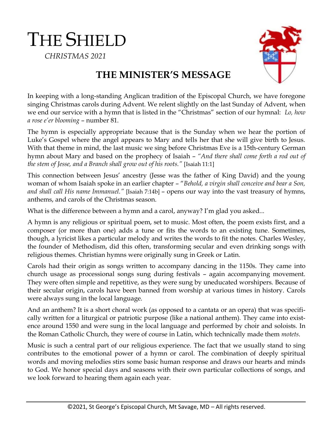THE SHIELD  *CHRISTMAS 2021*



## **THE MINISTER'S MESSAGE**

In keeping with a long-standing Anglican tradition of the Episcopal Church, we have foregone singing Christmas carols during Advent. We relent slightly on the last Sunday of Advent, when we end our service with a hymn that is listed in the "Christmas" section of our hymnal: *Lo, how a rose e'er blooming* – number 81.

The hymn is especially appropriate because that is the Sunday when we hear the portion of Luke's Gospel where the angel appears to Mary and tells her that she will give birth to Jesus. With that theme in mind, the last music we sing before Christmas Eve is a 15th-century German hymn about Mary and based on the prophecy of Isaiah – *"And there shall come forth a rod out of the stem of Jesse, and a Branch shall grow out of his roots."* [Isaiah 11:1]

This connection between Jesus' ancestry (Jesse was the father of King David) and the young woman of whom Isaiah spoke in an earlier chapter – "*Behold, a virgin shall conceive and bear a Son, and shall call His name Immanuel."* [Isaiah 7:14b] – opens our way into the vast treasury of hymns, anthems, and carols of the Christmas season.

What is the difference between a hymn and a carol, anyway? I'm glad you asked...

A hymn is any religious or spiritual poem, set to music. Most often, the poem exists first, and a composer (or more than one) adds a tune or fits the words to an existing tune. Sometimes, though, a lyricist likes a particular melody and writes the words to fit the notes. Charles Wesley, the founder of Methodism, did this often, transforming secular and even drinking songs with religious themes. Christian hymns were originally sung in Greek or Latin.

Carols had their origin as songs written to accompany dancing in the 1150s. They came into church usage as processional songs sung during festivals – again accompanying movement. They were often simple and repetitive, as they were sung by uneducated worshipers. Because of their secular origin, carols have been banned from worship at various times in history. Carols were always sung in the local language.

And an anthem? It is a short choral work (as opposed to a cantata or an opera) that was specifically written for a liturgical or patriotic purpose (like a national anthem). They came into existence around 1550 and were sung in the local language and performed by choir and soloists. In the Roman Catholic Church, they were of course in Latin, which technically made them *motets*.

Music is such a central part of our religious experience. The fact that we usually stand to sing contributes to the emotional power of a hymn or carol. The combination of deeply spiritual words and moving melodies stirs some basic human response and draws our hearts and minds to God. We honor special days and seasons with their own particular collections of songs, and we look forward to hearing them again each year.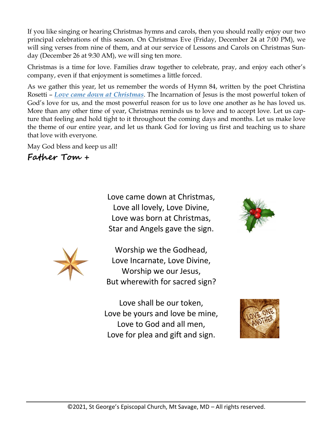If you like singing or hearing Christmas hymns and carols, then you should really enjoy our two principal celebrations of this season. On Christmas Eve (Friday, December 24 at 7:00 PM), we will sing verses from nine of them, and at our service of Lessons and Carols on Christmas Sunday (December 26 at 9:30 AM), we will sing ten more.

Christmas is a time for love. Families draw together to celebrate, pray, and enjoy each other's company, even if that enjoyment is sometimes a little forced.

As we gather this year, let us remember the words of Hymn 84, written by the poet Christina Rosetti – *[Love came down at Christmas](https://www.youtube.com/watch?v=ssKkP78kFiM)*. The Incarnation of Jesus is the most powerful token of God's love for us, and the most powerful reason for us to love one another as he has loved us. More than any other time of year, Christmas reminds us to love and to accept love. Let us capture that feeling and hold tight to it throughout the coming days and months. Let us make love the theme of our entire year, and let us thank God for loving us first and teaching us to share that love with everyone.

May God bless and keep us all!

## **Father Tom +**

Love came down at Christmas, Love all lovely, Love Divine, Love was born at Christmas, Star and Angels gave the sign.



Worship we the Godhead, Love Incarnate, Love Divine, Worship we our Jesus, But wherewith for sacred sign?

Love shall be our token, Love be yours and love be mine, Love to God and all men, Love for plea and gift and sign.



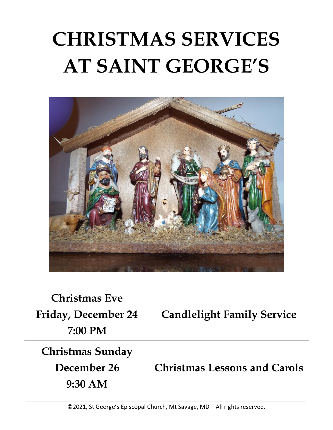## **CHRISTMAS SERVICES AT SAINT GEORGE'S**



**Christmas Eve Friday, December 24 7:00 PM**

**Candlelight Family Service**

## **Christmas Sunday**

**December 26 9:30 AM**

**Christmas Lessons and Carols**